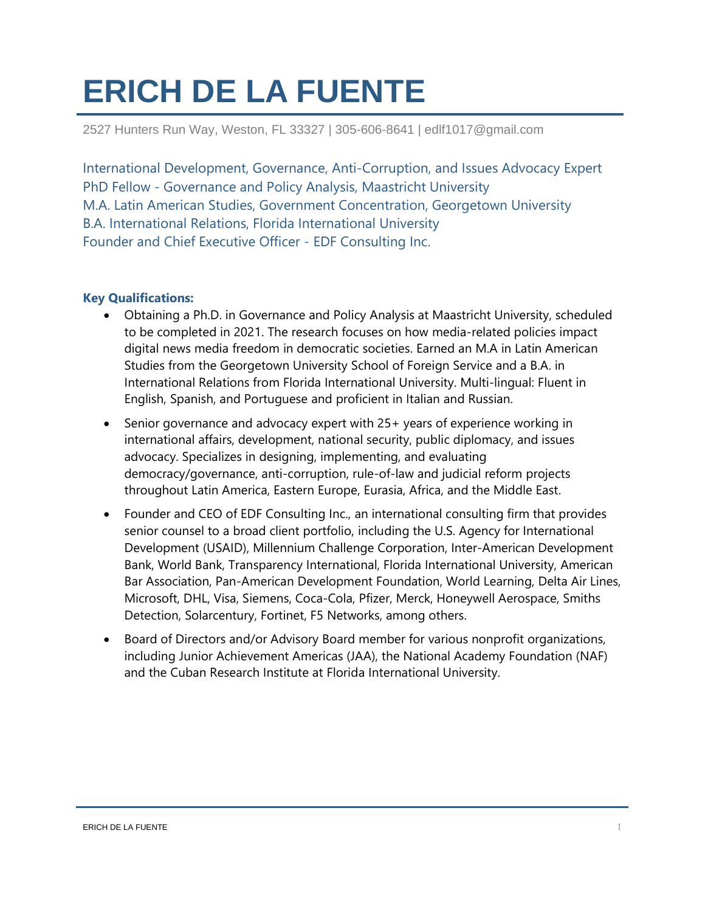# **ERICH DE LA FUENTE**

2527 Hunters Run Way, Weston, FL 33327 | 305-606-8641 | edlf1017@gmail.com

International Development, Governance, Anti-Corruption, and Issues Advocacy Expert PhD Fellow - Governance and Policy Analysis, Maastricht University M.A. Latin American Studies, Government Concentration, Georgetown University B.A. International Relations, Florida International University Founder and Chief Executive Officer - EDF Consulting Inc.

## **Key Qualifications:**

- Obtaining a Ph.D. in Governance and Policy Analysis at Maastricht University, scheduled to be completed in 2021. The research focuses on how media-related policies impact digital news media freedom in democratic societies. Earned an M.A in Latin American Studies from the Georgetown University School of Foreign Service and a B.A. in International Relations from Florida International University. Multi-lingual: Fluent in English, Spanish, and Portuguese and proficient in Italian and Russian.
- Senior governance and advocacy expert with 25+ years of experience working in international affairs, development, national security, public diplomacy, and issues advocacy. Specializes in designing, implementing, and evaluating democracy/governance, anti-corruption, rule-of-law and judicial reform projects throughout Latin America, Eastern Europe, Eurasia, Africa, and the Middle East.
- Founder and CEO of EDF Consulting Inc., an international consulting firm that provides senior counsel to a broad client portfolio, including the U.S. Agency for International Development (USAID), Millennium Challenge Corporation, Inter-American Development Bank, World Bank, Transparency International, Florida International University, American Bar Association, Pan-American Development Foundation, World Learning, Delta Air Lines, Microsoft, DHL, Visa, Siemens, Coca-Cola, Pfizer, Merck, Honeywell Aerospace, Smiths Detection, Solarcentury, Fortinet, F5 Networks, among others.
- Board of Directors and/or Advisory Board member for various nonprofit organizations, including Junior Achievement Americas (JAA), the National Academy Foundation (NAF) and the Cuban Research Institute at Florida International University.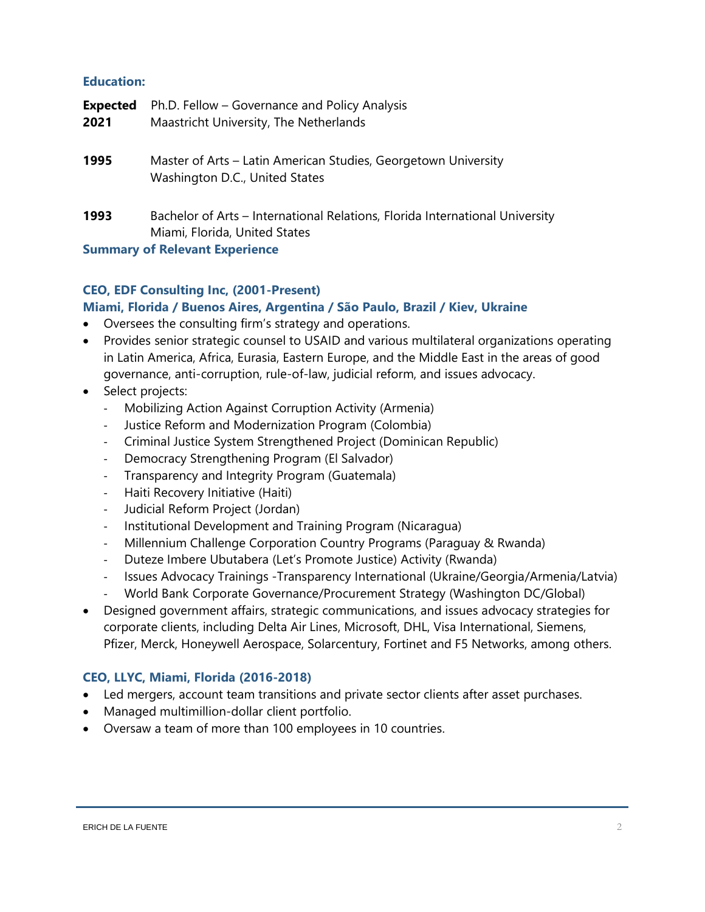## **Education:**

| <b>Expected</b> | Ph.D. Fellow – Governance and Policy Analysis                                                                 |
|-----------------|---------------------------------------------------------------------------------------------------------------|
| 2021            | Maastricht University, The Netherlands                                                                        |
| 1995            | Master of Arts - Latin American Studies, Georgetown University<br>Washington D.C., United States              |
| 1993            | Bachelor of Arts – International Relations, Florida International University<br>Miami, Florida, United States |
|                 | <b>Summary of Relevant Experience</b>                                                                         |

## **CEO, EDF Consulting Inc, (2001-Present)**

## **Miami, Florida / Buenos Aires, Argentina / São Paulo, Brazil / Kiev, Ukraine**

- Oversees the consulting firm's strategy and operations.
- Provides senior strategic counsel to USAID and various multilateral organizations operating in Latin America, Africa, Eurasia, Eastern Europe, and the Middle East in the areas of good governance, anti-corruption, rule-of-law, judicial reform, and issues advocacy.
- Select projects:
	- Mobilizing Action Against Corruption Activity (Armenia)
	- Justice Reform and Modernization Program (Colombia)
	- Criminal Justice System Strengthened Project (Dominican Republic)
	- Democracy Strengthening Program (El Salvador)
	- Transparency and Integrity Program (Guatemala)
	- Haiti Recovery Initiative (Haiti)
	- Judicial Reform Project (Jordan)
	- Institutional Development and Training Program (Nicaragua)
	- Millennium Challenge Corporation Country Programs (Paraguay & Rwanda)
	- Duteze Imbere Ubutabera (Let's Promote Justice) Activity (Rwanda)
	- Issues Advocacy Trainings -Transparency International (Ukraine/Georgia/Armenia/Latvia)
	- World Bank Corporate Governance/Procurement Strategy (Washington DC/Global)
- Designed government affairs, strategic communications, and issues advocacy strategies for corporate clients, including Delta Air Lines, Microsoft, DHL, Visa International, Siemens, Pfizer, Merck, Honeywell Aerospace, Solarcentury, Fortinet and F5 Networks, among others.

# **CEO, LLYC, Miami, Florida (2016-2018)**

- Led mergers, account team transitions and private sector clients after asset purchases.
- Managed multimillion-dollar client portfolio.
- Oversaw a team of more than 100 employees in 10 countries.